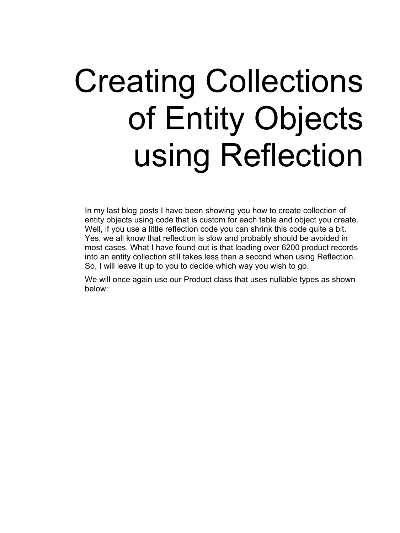# Creating Collections of Entity Objects using Reflection

In my last blog posts I have been showing you how to create collection of entity objects using code that is custom for each table and object you create. Well, if you use a little reflection code you can shrink this code quite a bit. Yes, we all know that reflection is slow and probably should be avoided in most cases. What I have found out is that loading over 6200 product records into an entity collection still takes less than a second when using Reflection. So, I will leave it up to you to decide which way you wish to go.

We will once again use our Product class that uses nullable types as shown below: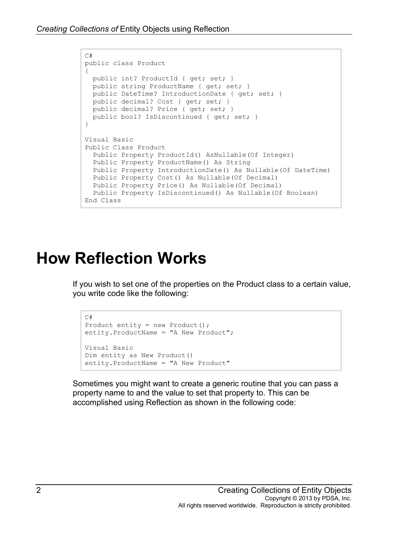```
C#public class Product
{
 public int? ProductId { get; set; }
 public string ProductName { get; set; }
  public DateTime? IntroductionDate { get; set; }
 public decimal? Cost { get; set; }
 public decimal? Price { get; set; }
  public bool? IsDiscontinued { get; set; } 
}
Visual Basic
Public Class Product
  Public Property ProductId() AsNullable(Of Integer)
  Public Property ProductName() As String
  Public Property IntroductionDate() As Nullable(Of DateTime)
  Public Property Cost() As Nullable(Of Decimal)
  Public Property Price() As Nullable(Of Decimal)
  Public Property IsDiscontinued() As Nullable(Of Boolean)
End Class
```
## **How Reflection Works**

If you wish to set one of the properties on the Product class to a certain value, you write code like the following:

```
C#
Product entity = new Product();
entity. ProductName = "A New Product";
Visual Basic
Dim entity as New Product()
entity.ProductName = "A New Product"
```
Sometimes you might want to create a generic routine that you can pass a property name to and the value to set that property to. This can be accomplished using Reflection as shown in the following code: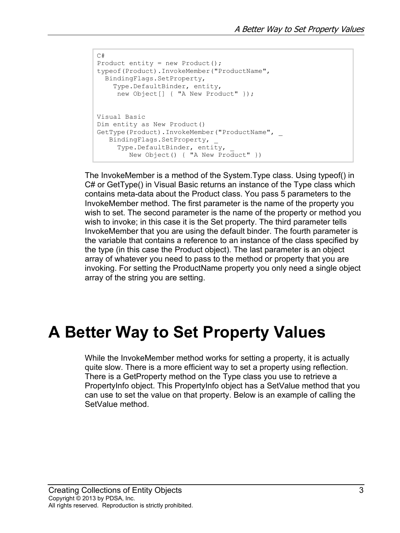```
C#Product entity = new Product();
typeof(Product).InvokeMember("ProductName",
  BindingFlags.SetProperty,
     Type.DefaultBinder, entity, 
      new Object[] { "A New Product" });
Visual Basic
Dim entity as New Product()
GetType(Product).InvokeMember("ProductName", _
    BindingFlags.SetProperty, _
      Type.DefaultBinder, entity, _
         New Object() { "A New Product" })
```
The InvokeMember is a method of the System.Type class. Using typeof() in C# or GetType() in Visual Basic returns an instance of the Type class which contains meta-data about the Product class. You pass 5 parameters to the InvokeMember method. The first parameter is the name of the property you wish to set. The second parameter is the name of the property or method you wish to invoke; in this case it is the Set property. The third parameter tells InvokeMember that you are using the default binder. The fourth parameter is the variable that contains a reference to an instance of the class specified by the type (in this case the Product object). The last parameter is an object array of whatever you need to pass to the method or property that you are invoking. For setting the ProductName property you only need a single object array of the string you are setting.

## **A Better Way to Set Property Values**

While the InvokeMember method works for setting a property, it is actually quite slow. There is a more efficient way to set a property using reflection. There is a GetProperty method on the Type class you use to retrieve a PropertyInfo object. This PropertyInfo object has a SetValue method that you can use to set the value on that property. Below is an example of calling the SetValue method.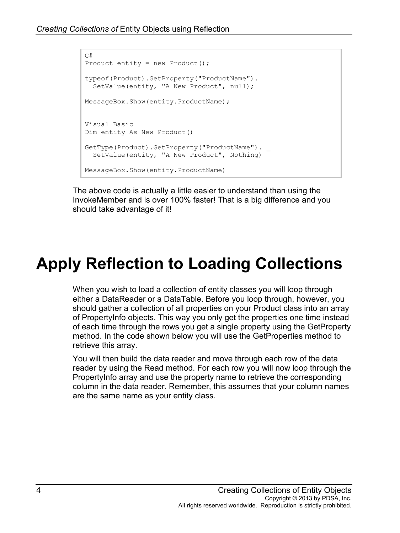```
C#Product entity = new Product();
typeof(Product).GetProperty("ProductName").
 SetValue(entity, "A New Product", null);
MessageBox.Show(entity.ProductName);
Visual Basic
Dim entity As New Product()
GetType(Product).GetProperty("ProductName"). _
  SetValue(entity, "A New Product", Nothing)
MessageBox.Show(entity.ProductName)
```
The above code is actually a little easier to understand than using the InvokeMember and is over 100% faster! That is a big difference and you should take advantage of it!

# **Apply Reflection to Loading Collections**

When you wish to load a collection of entity classes you will loop through either a DataReader or a DataTable. Before you loop through, however, you should gather a collection of all properties on your Product class into an array of PropertyInfo objects. This way you only get the properties one time instead of each time through the rows you get a single property using the GetProperty method. In the code shown below you will use the GetProperties method to retrieve this array.

You will then build the data reader and move through each row of the data reader by using the Read method. For each row you will now loop through the PropertyInfo array and use the property name to retrieve the corresponding column in the data reader. Remember, this assumes that your column names are the same name as your entity class.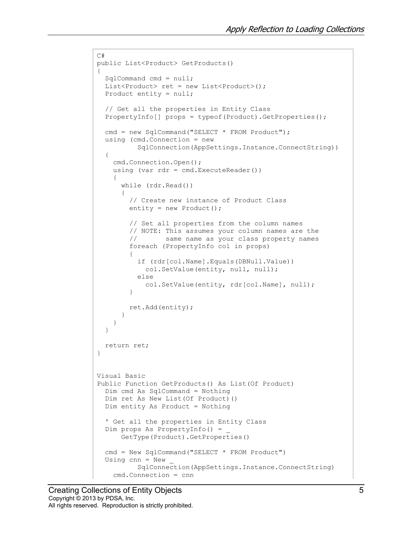```
C#
public List<Product> GetProducts()
{
   SqlCommand cmd = null;
  List<Product> ret = new List<Product>();
  Product entity = null; // Get all the properties in Entity Class
  PropertyInfo[] props = typeof(Product).GetProperties();
  cmd = new SqlCommand("SELECT * FROM Product");
   using (cmd.Connection = new 
           SqlConnection(AppSettings.Instance.ConnectString))
   {
     cmd.Connection.Open();
     using (var rdr = cmd.ExecuteReader())
     {
       while (rdr.Read())
       {
         // Create new instance of Product Class
        entity = new Product();
         // Set all properties from the column names
        // NOTE: This assumes your column names are the<br>// same name as your class property names
                 same name as your class property names
         foreach (PropertyInfo col in props)
\{ if (rdr[col.Name].Equals(DBNull.Value))
             col.SetValue(entity, null, null);
           else
             col.SetValue(entity, rdr[col.Name], null);
         }
      ret.Add(entity);
 }
     }
   }
  return ret;
}
Visual Basic
Public Function GetProducts() As List(Of Product)
   Dim cmd As SqlCommand = Nothing
   Dim ret As New List(Of Product)()
   Dim entity As Product = Nothing
   ' Get all the properties in Entity Class
   Dim props As PropertyInfo() = _
       GetType(Product).GetProperties()
   cmd = New SqlCommand("SELECT * FROM Product")
  Using cnn = New SqlConnection(AppSettings.Instance.ConnectString)
     cmd.Connection = cnn
```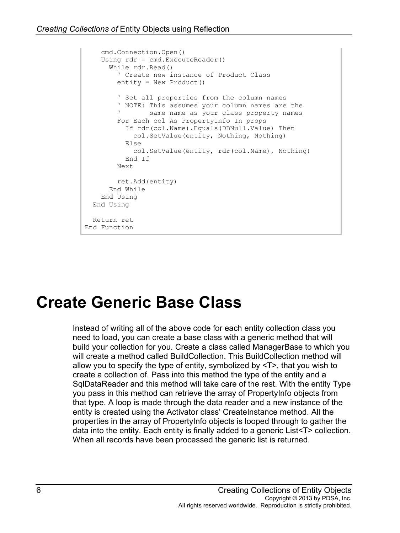```
 cmd.Connection.Open()
     Using rdr = cmd.ExecuteReader()
       While rdr.Read()
         ' Create new instance of Product Class
         entity = New Product()
         ' Set all properties from the column names
         ' NOTE: This assumes your column names are the 
                same name as your class property names
         For Each col As PropertyInfo In props
           If rdr(col.Name).Equals(DBNull.Value) Then
             col.SetValue(entity, Nothing, Nothing)
           Else
             col.SetValue(entity, rdr(col.Name), Nothing)
           End If
         Next
         ret.Add(entity)
       End While
    End Using
  End Using
  Return ret
End Function
```
## **Create Generic Base Class**

Instead of writing all of the above code for each entity collection class you need to load, you can create a base class with a generic method that will build your collection for you. Create a class called ManagerBase to which you will create a method called BuildCollection. This BuildCollection method will allow you to specify the type of entity, symbolized by <T>, that you wish to create a collection of. Pass into this method the type of the entity and a SqlDataReader and this method will take care of the rest. With the entity Type you pass in this method can retrieve the array of PropertyInfo objects from that type. A loop is made through the data reader and a new instance of the entity is created using the Activator class' CreateInstance method. All the properties in the array of PropertyInfo objects is looped through to gather the data into the entity. Each entity is finally added to a generic List<T> collection. When all records have been processed the generic list is returned.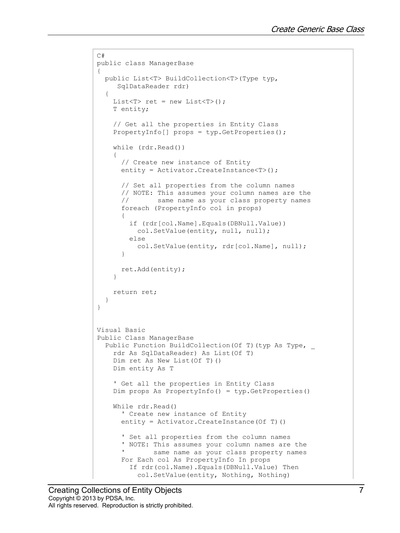```
C#
public class ManagerBase
{
   public List<T> BuildCollection<T>(Type typ, 
      SqlDataReader rdr)
   {
    List<T> ret = new List<T>();
     T entity;
     // Get all the properties in Entity Class
     PropertyInfo[] props = typ.GetProperties();
     while (rdr.Read())
\left\{\begin{array}{c} \end{array}\right\} // Create new instance of Entity
       entity = Activator.CreateInstance<T>();
       // Set all properties from the column names
      // NOTE: This assumes your column names are the<br>// same name as your class property names
               same name as your class property names
       foreach (PropertyInfo col in props)
 {
         if (rdr[col.Name].Equals(DBNull.Value))
           col.SetValue(entity, null, null);
         else
      col.SetValue(entity, rdr[col.Name], null);
 }
       ret.Add(entity);
     }
     return ret;
   }
}
Visual Basic
Public Class ManagerBase
  Public Function BuildCollection (Of T) (typ As Type,
     rdr As SqlDataReader) As List(Of T)
     Dim ret As New List(Of T)()
     Dim entity As T
     ' Get all the properties in Entity Class
     Dim props As PropertyInfo() = typ.GetProperties()
     While rdr.Read()
       ' Create new instance of Entity
      entity = Activator. CreateInstance(Of T)()
       ' Set all properties from the column names
       ' NOTE: This assumes your column names are the 
              same name as your class property names
       For Each col As PropertyInfo In props
         If rdr(col.Name).Equals(DBNull.Value) Then
           col.SetValue(entity, Nothing, Nothing)
```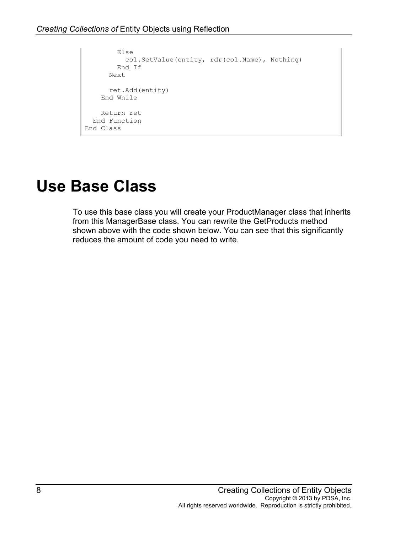```
 Else
           col.SetValue(entity, rdr(col.Name), Nothing)
         End If
       Next
       ret.Add(entity)
     End While
     Return ret
   End Function
End Class
```
#### **Use Base Class**

To use this base class you will create your ProductManager class that inherits from this ManagerBase class. You can rewrite the GetProducts method shown above with the code shown below. You can see that this significantly reduces the amount of code you need to write.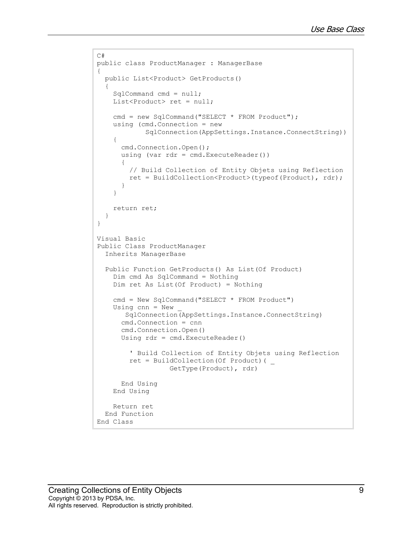```
C#
public class ProductManager : ManagerBase
{
  public List<Product> GetProducts()
\{ SqlCommand cmd = null;
   List<Product> ret = null;
    cmd = new SqlCommand("SELECT * FROM Product");
     using (cmd.Connection = new
             SqlConnection(AppSettings.Instance.ConnectString))
     {
       cmd.Connection.Open();
       using (var rdr = cmd.ExecuteReader())
 {
         // Build Collection of Entity Objets using Reflection
         ret = BuildCollection<Product>(typeof(Product), rdr);
       }
     }
     return ret;
   }
}
Visual Basic
Public Class ProductManager
  Inherits ManagerBase
  Public Function GetProducts() As List(Of Product)
     Dim cmd As SqlCommand = Nothing
     Dim ret As List(Of Product) = Nothing
     cmd = New SqlCommand("SELECT * FROM Product")
    Using cnn = New SqlConnection(AppSettings.Instance.ConnectString)
       cmd.Connection = cnn
       cmd.Connection.Open()
       Using rdr = cmd.ExecuteReader()
         ' Build Collection of Entity Objets using Reflection
         ret = BuildCollection(Of Product)( _
                   GetType(Product), rdr)
       End Using
     End Using
     Return ret
  End Function
End Class
```